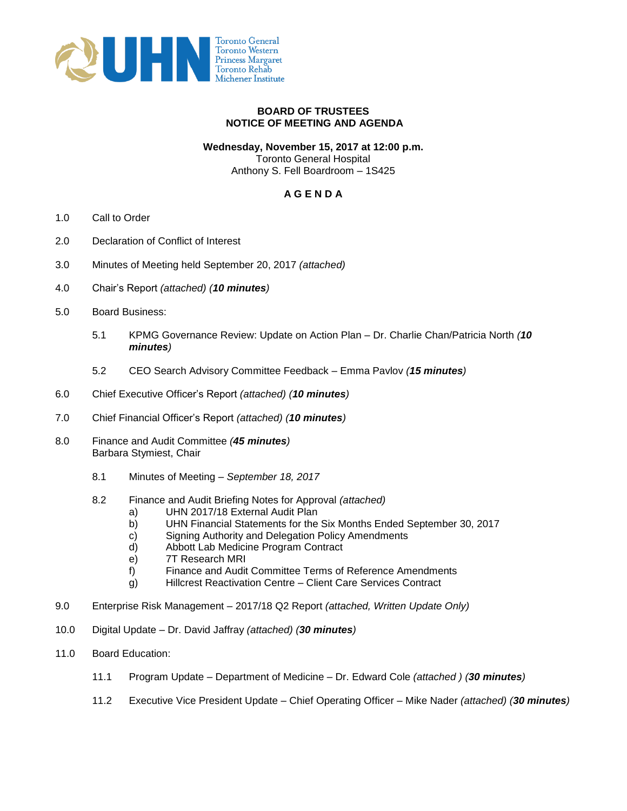

## **BOARD OF TRUSTEES NOTICE OF MEETING AND AGENDA**

## **Wednesday, November 15, 2017 at 12:00 p.m.**

Toronto General Hospital Anthony S. Fell Boardroom – 1S425

## **A G E N D A**

- 1.0 Call to Order
- 2.0 Declaration of Conflict of Interest
- 3.0 Minutes of Meeting held September 20, 2017 *(attached)*
- 4.0 Chair's Report *(attached) (10 minutes)*
- 5.0 Board Business:
	- 5.1 KPMG Governance Review: Update on Action Plan Dr. Charlie Chan/Patricia North *(10 minutes)*
	- 5.2 CEO Search Advisory Committee Feedback Emma Pavlov *(15 minutes)*
- 6.0 Chief Executive Officer's Report *(attached) (10 minutes)*
- 7.0 Chief Financial Officer's Report *(attached) (10 minutes)*
- 8.0 Finance and Audit Committee *(45 minutes)* Barbara Stymiest, Chair
	- 8.1 Minutes of Meeting *September 18, 2017*
	- 8.2 Finance and Audit Briefing Notes for Approval *(attached)*
		- a) UHN 2017/18 External Audit Plan
		- b) UHN Financial Statements for the Six Months Ended September 30, 2017
		- c) Signing Authority and Delegation Policy Amendments
		- d) Abbott Lab Medicine Program Contract
		- e) 7T Research MRI
		- f) Finance and Audit Committee Terms of Reference Amendments
		- g) Hillcrest Reactivation Centre Client Care Services Contract
- 9.0 Enterprise Risk Management 2017/18 Q2 Report *(attached, Written Update Only)*
- 10.0 Digital Update Dr. David Jaffray *(attached) (30 minutes)*
- 11.0 Board Education:
	- 11.1 Program Update Department of Medicine Dr. Edward Cole *(attached ) (30 minutes)*
	- 11.2 Executive Vice President Update Chief Operating Officer Mike Nader *(attached) (30 minutes)*